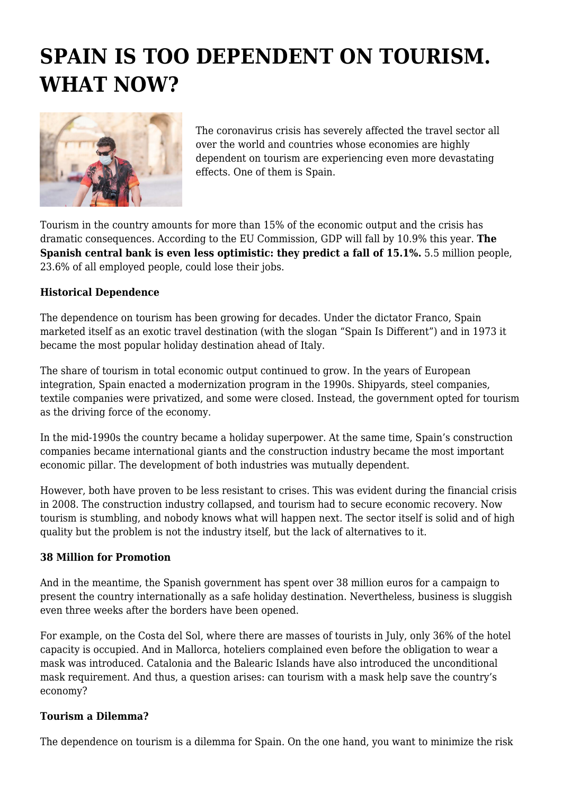# **SPAIN IS TOO DEPENDENT ON TOURISM. WHAT NOW?**



The coronavirus crisis has severely affected the travel sector all over the world and countries whose economies are highly dependent on tourism are experiencing even more devastating effects. One of them is Spain.

Tourism in the country amounts for more than 15% of the economic output and the crisis has dramatic consequences. According to the EU Commission, GDP will fall by 10.9% this year. **The Spanish central bank is even less optimistic: they predict a fall of 15.1%.** 5.5 million people, 23.6% of all employed people, could lose their jobs.

# **Historical Dependence**

The dependence on tourism has been growing for decades. Under the dictator Franco, Spain marketed itself as an exotic travel destination (with the slogan "Spain Is Different") and in 1973 it became the most popular holiday destination ahead of Italy.

The share of tourism in total economic output continued to grow. In the years of European integration, Spain enacted a modernization program in the 1990s. Shipyards, steel companies, textile companies were privatized, and some were closed. Instead, the government opted for tourism as the driving force of the economy.

In the mid-1990s the country became a holiday superpower. At the same time, Spain's construction companies became international giants and the construction industry became the most important economic pillar. The development of both industries was mutually dependent.

However, both have proven to be less resistant to crises. This was evident during the financial crisis in 2008. The construction industry collapsed, and tourism had to secure economic recovery. Now tourism is stumbling, and nobody knows what will happen next. The sector itself is solid and of high quality but the problem is not the industry itself, but the lack of alternatives to it.

### **38 Million for Promotion**

And in the meantime, the Spanish government has spent over 38 million euros for a campaign to present the country internationally as a safe holiday destination. Nevertheless, business is sluggish even three weeks after the borders have been opened.

For example, on the Costa del Sol, where there are masses of tourists in July, only 36% of the hotel capacity is occupied. And in Mallorca, hoteliers complained even before the obligation to wear a mask was introduced. Catalonia and the Balearic Islands have also introduced the unconditional mask requirement. And thus, a question arises: can tourism with a mask help save the country's economy?

### **Tourism a Dilemma?**

The dependence on tourism is a dilemma for Spain. On the one hand, you want to minimize the risk